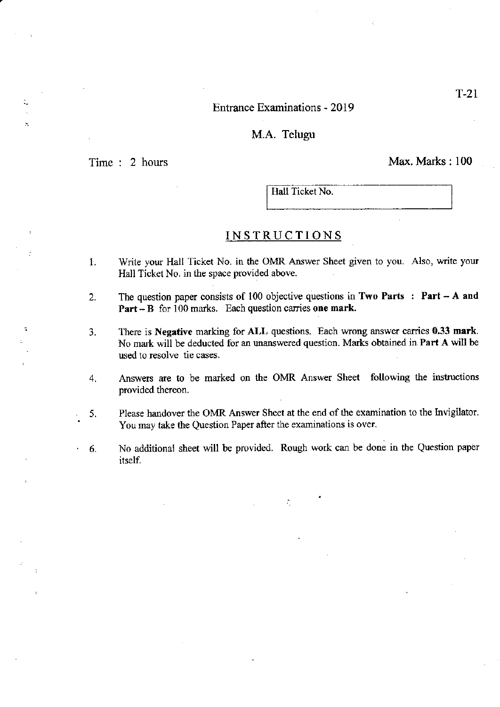### Entrance Examinations - 2019

#### M.A. Telugu

÷.

Time : 2 hours Max. Marks : 100

Hall Ticket No.

### INSTRUCTIONS

- l. Write your Hall Ticket No. in the OMR Answer Sheet given to you. Also, write your Hall Ticket No. in the space provided above.
- 2. The question paper consists of 100 objective questions in Two Parts : Part A and **Part - B** for  $100$  marks. Each question carries one mark.
- 3. There is Negative marking for ALL questions. Each wrong answer carries 0.33 nark. No mark will be deducted for an unanswered question. Marks obtained in Part A will be used to resolve tie cases.
- 4. Answers are to be marked on the OMR Answer Sheet following the instructions provided thereon.
- 5. Please handover the OMR Answer Sheet at the end of the examination to the Invigilator. You may take the Question Paper after the examinations is over.
- ' 6. No additional sheet will be provided. Rough work can be done in tbe Question paper itself.

 $\mathcal{L}_{\mathcal{L}}$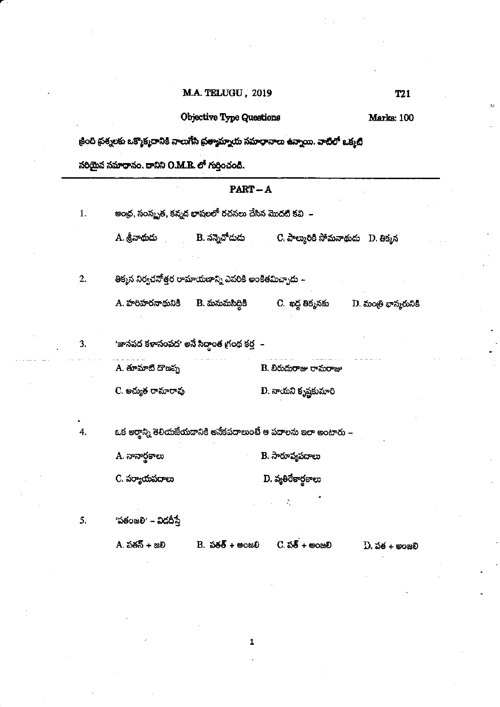# M.A. TELUGU, 2019

# Objective Type Questions

Marks: 100

**T21** 

క్రింది ప్రశ్నలకు ఒక్మొక్మదానికి నాలుగేసి ప్రత్యామ్నాయ సమాధానాలు ఉన్నాయి. వాటిలో ఒక్మటి

సరియైన సమాధానం. దానిని O.M.R. లో గుర్తించండి.

|    | PART-A                                                               |  |                                                                   |                       |  |  |
|----|----------------------------------------------------------------------|--|-------------------------------------------------------------------|-----------------------|--|--|
| 1. | ఆం <mark>ద్ర, సంస్</mark> మృత, కన్నద భాషలలో రచనలు చేసిన మొదటి కవి  – |  |                                                                   |                       |  |  |
|    | A. శ్రీనాథుదు                                                        |  | B. నన్నెచోదుడు               C. పాల్మురికి సోమనాథుడు    D. తిక్కన |                       |  |  |
| 2. | తిక్మన నిర్వచనోత్తర రామాయజాన్ని ఎవరికి అంకితమిచ్చాదు –               |  |                                                                   |                       |  |  |
|    | A. హరిహరనాథునికి     B. మనుమసిద్దికి                                 |  | C. ఖద్ద తిక్మనకు                                                  | D. మంత్రి భాన్మరునికి |  |  |
| 3. | 'జానపద కళాసంపద' అనే సిద్ధాంత గ్రంథ కర్త –                            |  |                                                                   |                       |  |  |
|    | A. తూమాటి దొణప్ప                                                     |  | B. బిరుదురాజు రామరాజు                                             |                       |  |  |
|    | C. అచ్యత రామారావు                                                    |  | D. నాయని కృష్ణకుమారి                                              |                       |  |  |
| 4. |                                                                      |  | ఒక అర్తాన్ని తెలియజేయదానికి అనేకపదాలుంటే ఆ పదాలను ఇలా అంటారు –    |                       |  |  |
|    | A. నానార్థకాలు                                                       |  | B. సారూప్యపదాలు                                                   |                       |  |  |
|    | C. పర్యాయపదాలు                                                       |  | D. వ్యతిరేకార్థకాలు                                               |                       |  |  |
|    |                                                                      |  |                                                                   |                       |  |  |
| 5. | 'పతంజలి' – విడదీసే                                                   |  |                                                                   |                       |  |  |
|    | A. పతన్ + జలి                                                        |  | $B.$ $56\overline{6} + 8080$ C. $5\overline{6} + 8080$            | $D.$ పత $+$ అంజలి     |  |  |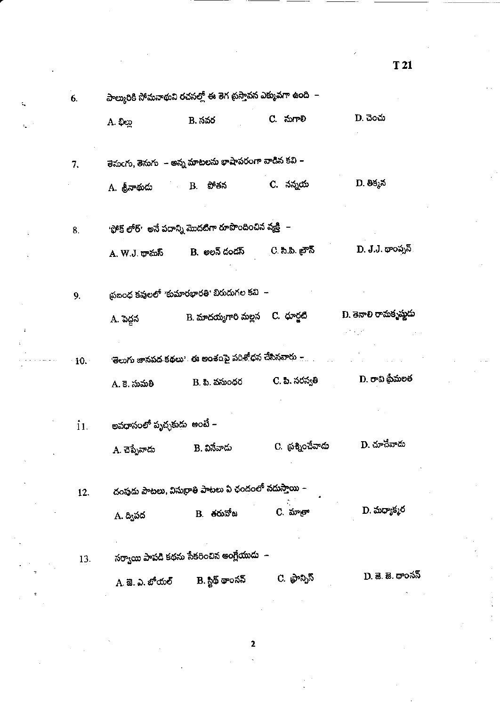| 6.   | పాల్మురికి సోమనాథుని రచనల్లో ఈ తెగ ప్రస్తావన ఎక్కువగా ఉంది  – |                                                         |                               |                           |  |
|------|---------------------------------------------------------------|---------------------------------------------------------|-------------------------------|---------------------------|--|
|      | A. భిల్లు                                                     | B. సవర                                                  | C. నుగాలి                     | D. చెంచు                  |  |
| 7.   |                                                               | తెనుఁగు, తెనుగు   - అన్న మాటలను భాషాపరంగా వాడిన కవి –   |                               |                           |  |
|      | A. శ్రీనాథుడు                                                 | B. పోతన                                                 | C. నన్నయ                      | D. తిక్మన                 |  |
| 8.   |                                                               | 'ఫోక్ లోర్'  అనే పదాన్ని మొదటిగా రూపొందించిన వ్యక్తి  – |                               |                           |  |
|      | A. W.J. థామస్                                                 | B. అలన్ దండస్                                           | ్ర. సి.పి. <sub>ట్</sub> గౌన్ | D. J.J. థాంప్నన్          |  |
| 9.   |                                                               | థఐంధ కవులలో 'కుమారభారతి' బిరుదుగల కవి  –                |                               |                           |  |
|      | A. పెద్దన                                                     | B. మాదయ్యగారి మల్లన - C. ధూర్జటి                        |                               | D. తెనాలి రామకృష్ణుడు     |  |
| 10.1 |                                                               | 'తెలుగు జానపద కథలు'. ఈ అంశంపై పరిశోధన చేసినవారు –       |                               |                           |  |
|      | A. కె. సుమతి                                                  | B. పి. వసుంధర                                           | C. పి. సరస్వతి                | D. రావి ప్రేమలత           |  |
| 11.  | అవధానంలో పృచ్ఛకుడు  అంటే –                                    |                                                         |                               |                           |  |
|      | A. చెప్పేవాదు                                                 | B. వినేవాదు                                             | C. ప్రశ్నించేవాదు             | D. చూచేవాదు               |  |
| 12.  |                                                               | దంపుడు పాటలు, విసుర్రాతి పాటలు ఏ ఛందంలో నదుస్తాయి –     |                               |                           |  |
|      | A. ద్విపద                                                     | B. <del>ర</del> రువోజ                                   | C. మాతా                       | D. మధ్యాక్మర              |  |
| 13.  |                                                               | సర్వాయి పాపడి కథను సేకరించిన ఆంగ్లేయుడు  –              |                               |                           |  |
|      | A. జె. ఎ. బోయల్                                               | B. స్టిథ్ థాంసన్                                        | C. ఫ్రాన్సిస్                 | D. జె. జె <i>.</i> థాంనస్ |  |
|      |                                                               |                                                         |                               |                           |  |

t,

T 21

 $\overline{\mathbf{2}}$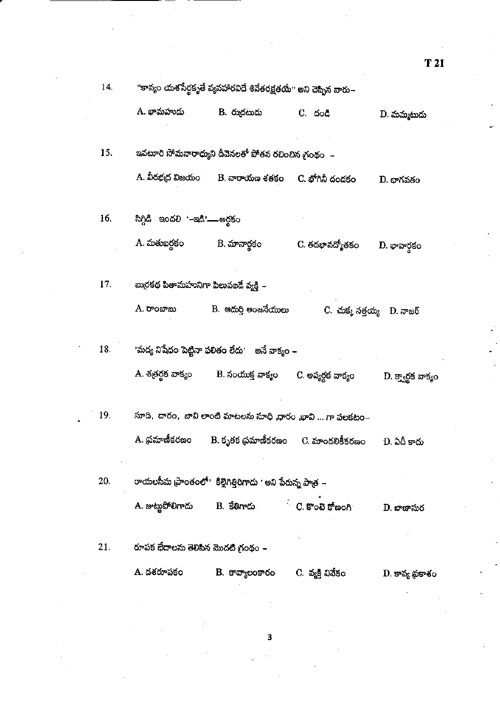| 14. |                                          | "కావ్యం యశసేర్థకృతే వ్యవహారవిదే శివేతరక్షతయే'' అని చెప్పిన వారు–                   |                             |                    |
|-----|------------------------------------------|------------------------------------------------------------------------------------|-----------------------------|--------------------|
|     | A. భామహుదు                               | B. రుద్రటుడు                                                                       | C. దండి                     | D. మమ్మటుడు        |
| 15. |                                          | ఇవటూరి సోమనారాధ్యుని దీవెనలతో పోతన రచించిన గ్రంథం  –                               |                             |                    |
|     |                                          | A. వీరభద్ర విజయం       B. నారాయణ శతకం     C. భోగినీ దండకం                          |                             | D. భాగవతం          |
| 16. | సిగ్గిడి ఇందలి '–ఇడి'— అర్థకం            |                                                                                    |                             |                    |
|     | A. మతుబర్థకం                             | B. మానార్థకం                                                                       | C. తదభావద్యోతకం             | D. భావార్తకం       |
| 17. | - బుర్రకథ పితామహునిగా పిలువబడే వ్యక్తి – |                                                                                    |                             |                    |
|     | A. రాంబాబు                               | B. ఆదుర్తి ఆంజనేయులు                                                               | C. చుక్మ సత్తయ్య - D. నాజర్ |                    |
| 18. |                                          | <sup>ు</sup> మద్య నిషేధం పెట్టినా ఫలితం లేదు <sup>,</sup> అనే వాక్యం –             |                             |                    |
|     |                                          | A. శత్రర్థక వాక్యం        B. సంయుక్త వాక్యం      C. అప్యర్థక వాక్యం                |                             | D. క్వార్థక వాక్యం |
| 19. |                                          | సూది, దారం, బావి లాంటి మాటలను సూధి ,ధారం ,భావి  గా పలకటం–                          |                             |                    |
|     | A. ప్రమాణీకరణం                           | B. కృతక థమాణీకరణం                                                                  | C. మాందలికీకరణం             | D. ఏదీ కాదు        |
| 20. |                                          | రాయలసీమ ప్రాంతంలో <sup>,</sup> కిల్లెగిత్తిరిగాదు <sup>,</sup> అని పేరున్న పాత్ర – |                             |                    |
|     | A. జుట్లపోలిగాదు                         | B. కేతిగాదు                                                                        | $^{\circ}$ C. కొంటె కోణంగి  | D. బాణాసుర         |
|     |                                          |                                                                                    |                             |                    |
| 21. | రూపక భేదాలను తెలిపిన మొదటి గ్రంథం –      |                                                                                    |                             |                    |
|     | A. దశరూపకం                               | B. కావ్యాలంకారం                                                                    | C. వ్యక్తి వివేకం           | D. కావ్య థ్రకాశం   |
|     |                                          |                                                                                    |                             |                    |

 $\overline{\mathbf{3}}$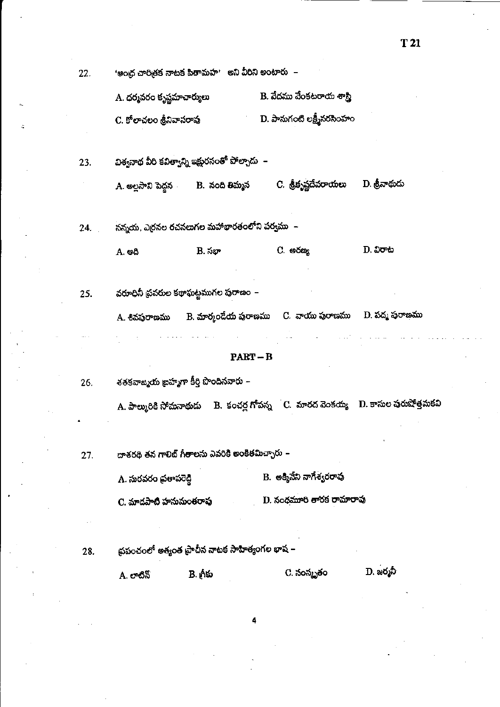| B. వేదము వేంకటరాయ శాస్త్రి<br>A. ధర్మవరం కృష్ణమాచార్యులు<br>D. పానుగంటి లక్ష్మీనరసింహం<br>C. కోలాచలం శ్రీనివాసరావు<br>విశ్వనాథ వీరి కవిత్వాన్ని ఇక్షురసంతో పోల్చాడు  –<br>23.<br>C. శ్రీకృష్ణదేవరాయలు<br>D. త్రీనాథుదు<br>A. అల్లసాని పెద్దన           B.  నంది తిమ్మన |  |
|------------------------------------------------------------------------------------------------------------------------------------------------------------------------------------------------------------------------------------------------------------------------|--|
|                                                                                                                                                                                                                                                                        |  |
|                                                                                                                                                                                                                                                                        |  |
|                                                                                                                                                                                                                                                                        |  |
|                                                                                                                                                                                                                                                                        |  |
|                                                                                                                                                                                                                                                                        |  |
| నన్నయ, ఎర్రనల రచనలుగల మహాభారతంలోని పర్వము  –<br>24.                                                                                                                                                                                                                    |  |
| $D.$ $\delta$ o $\omega$<br>C. <b>అ</b> రణ్య<br>B. సభా<br>A. ఆది                                                                                                                                                                                                       |  |
|                                                                                                                                                                                                                                                                        |  |
| వరూధినీ ప్రవరుల కథాఘట్టముగల పురాణం –<br>25.                                                                                                                                                                                                                            |  |
| A. శివపురాణము       B. మార్కండేయ పురాణము     C.  వాయు పురాణము     D. పద్మ పురాణము                                                                                                                                                                                      |  |
|                                                                                                                                                                                                                                                                        |  |
| $PART-B$                                                                                                                                                                                                                                                               |  |
| శతకవాజ్మయ ఐహ్మగా కీర్తి పొందినవారు –<br>26.                                                                                                                                                                                                                            |  |
| A. పాల్మురికి సోమనాథుడు     B.  కంచర్ల గోపన్న     C.  మారద వెంకయ్య    D. కాసుల పురుషోత్తమకవి                                                                                                                                                                           |  |
|                                                                                                                                                                                                                                                                        |  |
| దాశరథి తన గాలిబ్ గీతాలను ఎవరికి అంకితమిచ్చారు –<br>27.                                                                                                                                                                                                                 |  |
| B. అక్మినేని నాగేశ్వరరావు<br>A. సురవరం ప్రతాపరెడ్డి                                                                                                                                                                                                                    |  |
| D. నందమూరి తారక రామారావు<br>C. మాదపాటి హనుమంతరావు                                                                                                                                                                                                                      |  |
|                                                                                                                                                                                                                                                                        |  |
| ప్రపంచంలో అత్యంత ప్రాచీన నాటక సాహిత్యంగల భాష –<br>28.                                                                                                                                                                                                                  |  |
| D. జర్మనీ<br>C. నంస్మృతం<br>A. లాటిన్                                                                                                                                                                                                                                  |  |
|                                                                                                                                                                                                                                                                        |  |

4

Ŀ

T 21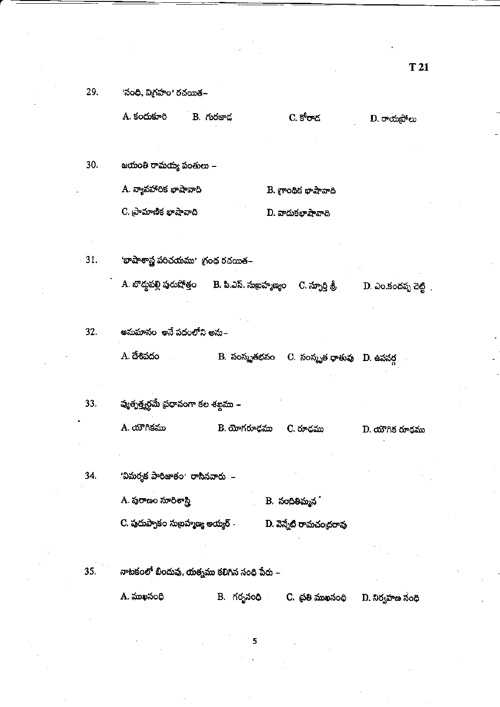29. 'సంధి, విగ్రహం' రచయిత–

| A. కందుకూరి | B. గురజాద | C. కోరాద | $D.$ రాయపోలు |
|-------------|-----------|----------|--------------|
|             |           |          |              |

30. జయంతి రామయ్య పంతులు –

> A. వ్యావహారిక భాషావాది  $B.$  (roots are  $\frac{1}{2}$

C. ప్రామాణిక భాషావాది D. వాదుకభాషావాది

31. 'భాషాశాస్త్ర పరిచయము' గ్రంథ రచయిత–

> A. బొద్దపల్లి పురుషోత్తం B. పి.ఎస్. సుఖమ్మాణ్యం C. స్ఫూర్తి శ్రీ D. ఎం.కందప్ప చెట్టి

32. అనుమానం అనే పదంలోని అను–

> B. సంస్కృతభవం C. సంస్కృత ధాతువు D. ఉపసర్గ A. దేశివదం

వ్యత్పత్త్వర్థమే ప్రధానంగా కల శబ్దము – 33. A. యౌగికము B. యోగరూధము C. రూధము  $D.$  యౌగిక రూఢము

'విమర్శక పారిజాతం' రాసినవారు – 34.

> A. పురాణం సూరిశాస్త్రి B. నందితిమ్మన**ి**

C. పుదుప్పాకం సుబ్రహ్మణ్య అయ్యర్ $\cdot$ D. వెన్నేటి రామచంద్రరావు

నాటకంలో బిందువు, యత్నము కలిగిన సంధి పేరు – 35.

 $A.$  ముఖసంధి

5

B. గర్భనంధి - C. ప్రతి ముఖసంధి

D. నిర్వహణ సంధి

T 21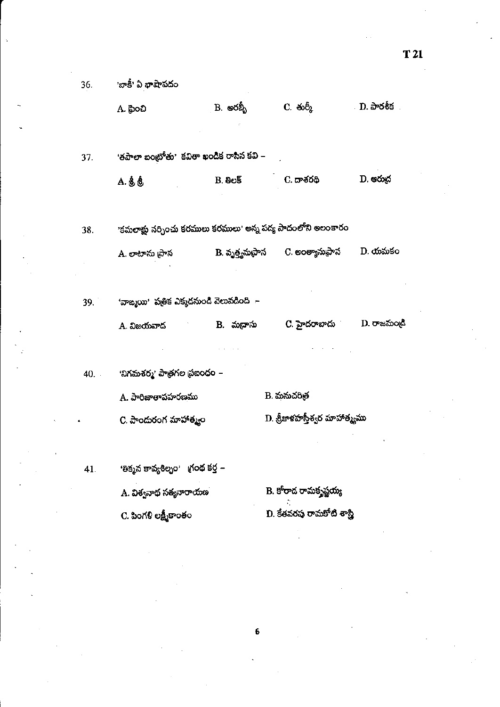| 36.   | <sup>,</sup> బాకీ' ఏ భాషాపదం                                 |                   |                               |                  |
|-------|--------------------------------------------------------------|-------------------|-------------------------------|------------------|
|       | A. ఫ్రెంచి                                                   | ్ B. అరబ్బీ       | C. ඡාර් <sub>දි</sub>         | <b>D.</b> పారశీక |
|       |                                                              |                   |                               |                  |
| 37.   | 'తపాలా బంట్రోతు' కవితా ఖండిక రాసిన కవి –                     |                   |                               |                  |
|       | A. శ్రీ శ్రీ                                                 | B.8e5             | C. దాశరథి                     | D. ఆరుద          |
|       |                                                              |                   |                               |                  |
| 38.   | 'కమలాక్షు నర్చించు కరములు కరములు' అన్న పద్య పాదంలోని అలంకారం |                   |                               |                  |
|       | A. లాటాను (పాస                                               | B. వృత్త్యనుప్రాస | C. అంత్యానుప్రాస              | D. యమకం          |
|       |                                                              |                   |                               |                  |
| 39. I | 'వాఙ్మయి' పత్రిక ఎక్కడనుండి వెలువడింది  –                    |                   |                               |                  |
|       | A. విజయవాద                                                   | B. మభాసు          | C. హైదరాబాదు                  | D. రాజమండి       |
|       |                                                              |                   |                               |                  |
| 40.   | 'నిగమశర్మ' పాత్రగల ప్రబంధం –                                 |                   |                               |                  |
|       | A. పారిజాతాపహరణము                                            |                   | B. మనుచరిత్ర                  |                  |
|       | C. పాందురంగ మాహాత్మం                                         |                   | D. శ్రీకాళహస్తీశ్వర మాహాత్యము |                  |
|       |                                                              |                   |                               |                  |
| 41.   | 'తిక్మన కావ్యశిల్పం' భంథ కర్త –                              |                   |                               |                  |
|       | A. విశ్వనాథ సత్యనారాయణ                                       |                   | B. కోరాద రామకృష్ణయ్య          |                  |
|       | C. పింగళి లక్ష్మీకాంతం                                       |                   | D. కేతవరపు రామకోటి శాస్త్రి   |                  |
|       |                                                              |                   |                               |                  |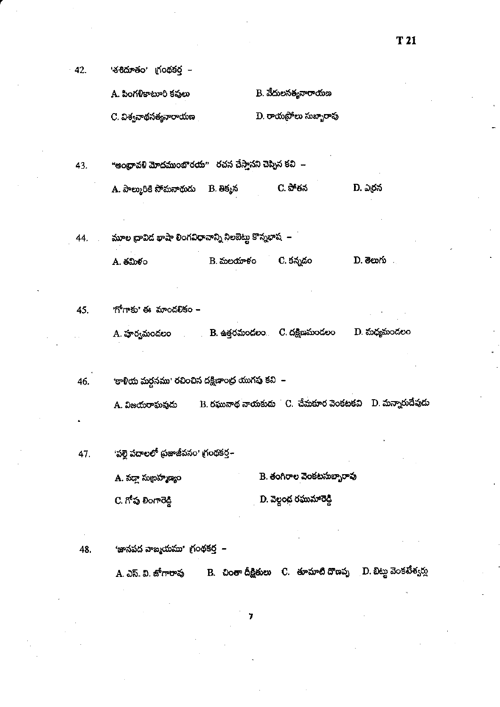$-42.$ 'శశిదూతం' గ్రంథకర్త –

> - B. వేదులసత్యనారాయణ A. పింగళికాటూరి కవులు

> $\mathbf D$ . రాయప్రోలు సుబ్బారావు C. విశ్వనాథసత్యనారాయణ

"ఆంధ్రావళి మోదముంబొరయ" రచన చేస్తానని చెప్పిన కవి – 43.

> A. పాల్మురికి సోమనాథుడు B. తిక్మన C. పోతన D. ఎర్రన

మూల ద్రావిద భాషా లింగవిధానాన్ని నిలబెట్టు కొన్నభాష – 44. B. మలయాళం C. కన్నడం **D.** මහරා . A. తమిళం

<u>'గోగాకు' ఈ మాండలికం –</u> 45.

> $B$ . ఉత్తరమండలం $C$ . దక్షిణమండలం D. మధ్యమండలం A. హర్వమండలం

'కాళియ మర్ధనము' రచించిన దక్షిణాంధ్ర యుగపు కవి – 46.

> $B$ . రఘునాథ నాయకుడు  $C$ . చేమకూర వెంకటకవి  $D$ . మన్నారుదేవుడు A. విజయరాఘవుదు

'పల్లె పదాలలో ప్రజాజీవనం' గ్రంథకర్త~ 47.

> B. కంగిరాల వెంకటసుబ్బారావు A. వద్దా సుబ్రహ్మణ్యం

D. వెల్దంద రఘుమారెడ్డి C. గోప లింగారెడ్డి

48.

'జానపద వాఙ్మయము' గ్ర౦థకర్త –

B. చింతా దీక్షితులు C. తూమాటి దొణప్ప D. బిట్టు వెంకటేశ్వర్లు A. ఎస్. వి. జోగారావు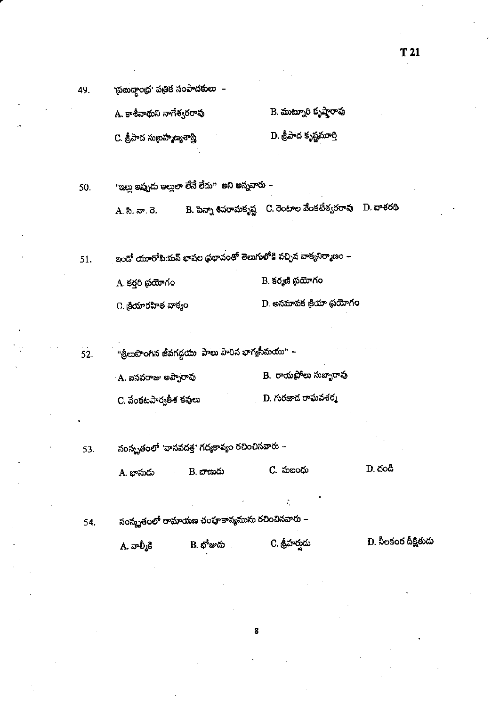| A. కాశీనాథుని నాగేశ్వరరావు     | B. ముట్నూరి కృష్ణారావు |
|--------------------------------|------------------------|
| C. శ్రీపాద సుబ్రహ్మణ్యశాస్త్రి | D. శ్రీపాద కృష్ణమూర్తి |

"ఇల్లు ఇప్పుడు ఇల్లులా లేనే లేదు" అని అన్నవారు – 50. B. పెన్నా శివరామకృష్ణ – C. రెంటాల వేంకటేశ్వరరావు – D. దాశరథి A. సి. నా. రె.

ఇందో యూరోపియన్ భాషల ప్రభావంతో తెలుగులోకి వచ్చిన వాక్యనిర్మాణం – 51.

> B. కర్మణి ప్రయోగం A. కర్తరి థయోగం

D. అనమాపక క్రియా థయోగం C. క్రియారహిత వాక్యం

"శ్రీలుపొంగిన జీవగడ్డయు పాలు పారిన భాగ్యసీమయు" –  $52.$ B. రాయపోలు సుబ్బారావు A. బసవరాజు అప్పారావు  $D$ . గురజాద రాఘవశర్మ C. వేంకటపార్వతీశ కవులు

సంస్కృతంలో 'వాసవదత్త' గద్యకావ్యం రచించినవారు – 53.

 $D.$  దండి C. సుబంధు  $B.$  బాణుడు A. భాసుదు

సంస్కృతంలో రామాయణ చంపూకావ్యమును రచించినవారు – 54.

> D. నీలకంఠ దీక్షితుడు  $\mathbf B$ . భోజుడు C. శ్రీహర్తుడు  $A.$  వాల్మీకి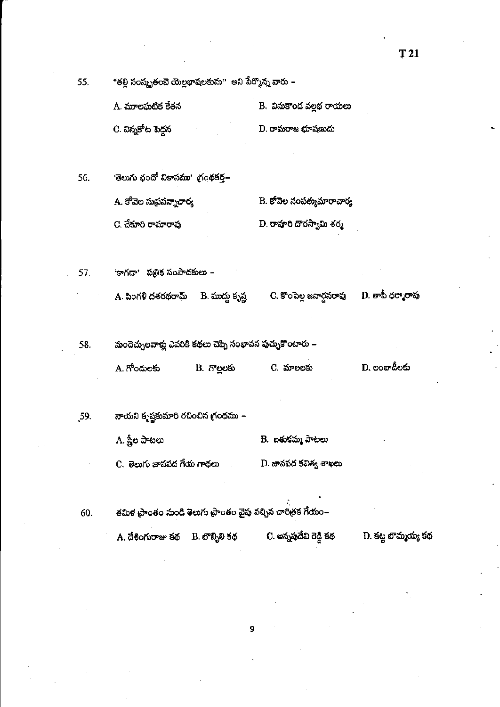"తల్లి సంస్కృతంబె యెల్లభాషలకును" అని పేర్మొన్న వారు – 55.

| A. మూలఘటిక కేతన     | - B. వినుకొంద వల్లభ రాయలు |
|---------------------|---------------------------|
| -C. విన్నకోట పెద్దన | D. రామరాజ భూషణుడు         |

'తెలుగు ఛందో వికాసము' గ్రంథకర్త– 56. A. కోవెల సుథసన్నాచార్య  $\mathbf B$ . కోవెల సంపత్కుమారాచార్య D. రాష్ఠారి దొరస్వామి శర్మ C. చేకూరి రామారావు

'కాగదా' పత్రిక సంపాదకులు – 57.

> B. ముద్దు కృష్ణ A. పింగళి దశరథరామ్

C. కొంపెల్ల జనార్దనరావు

 $\mathbf D$ . తాపీ ధర్మారావు

మందెచ్చులవాళ్లు ఎవరికి కథలు చెప్పి సంభావన పుచ్చుకొంటారు – 58.

| A. గోందులకు | B. గొలలకు | C. మాలలకు | D. లంబాడీలకు |
|-------------|-----------|-----------|--------------|
|-------------|-----------|-----------|--------------|

నాయని కృష్ణకుమారి రచించిన గ్రంథము – .59.

A. స్త్రీల పాటలు B. ఐతుకమ్మ పాటలు

C. తెలుగు జానపద గేయ గాథలు D. జానపద కవిత్వ శాఖలు

60.

తమిళ ప్రాంతం నుండి తెలుగు ప్రాంతం వైపు వచ్చిన చారిత్రక గేయం– A. దేశింగురాజు కథ B. బొబ్బిలి కథ

C. అన్నప్తదేవి రెడ్డి కథ

 $\mathbf D$ . కట్ట బొమ్మయ్య కథ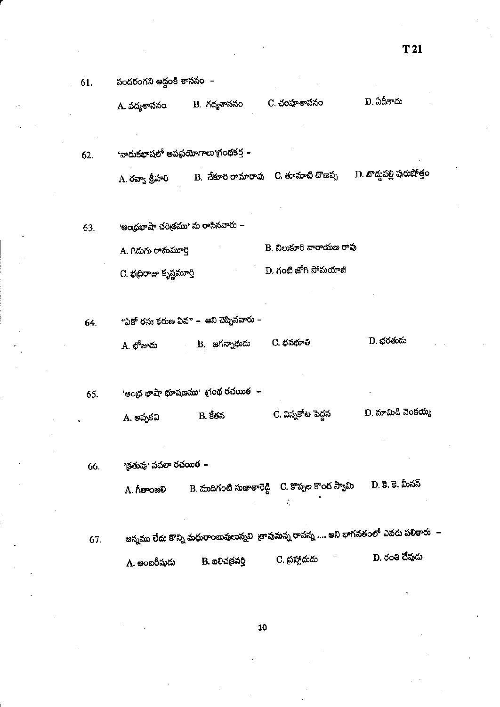పందరంగని అద్దంకి శాససం – 61.

62.

D. ఏదీకాదు C. చంపూశాననం B. గద్యశాననం A. పద్యశాసనం

B. చేకూరి రామారావు  $\;$  C. తూమాటి దొణప్ప $\;$  D. బొద్దపల్లి పురుషోత్రం A. రవ్వా శ్రీహరి

'ఆంధ్రభాషా చరిత్రము' ను రాసినవారు – 63.

'వాదుకభాషలో అపప్రయోగాలు'గ్రంథకర్త –

B. చిలుకూరి నారాయణ రావు A. గిడుగు రామమార్తి D. గంటి జోగి సోమయాజి C. భద్రిరాజు కృష్ణమూర్తి

"ఏకో రసః కరుణ ఏవ" – అని చెప్పినవారు – 64.

> D. భరతుడు C. భవభూతి B. జగన్నాథుదు A. భోజుదు

'ఆంధ్ర భాషా భూషణము' గ్రంథ రచయిత $\;$  – 65.  $\overline{\mathbf{C}}$ . విన్నకోట పెద్దన D. మామిడి వెంకయ్య A. అప్పకవి B. కేతన

'క్రతువు' నవలా రచ<mark>యిత</mark> – 66.

> D. కె. కె. మీనన్ B. ముదిగంటి సుజాతారెడ్డి C. కొప్పల కొండ స్వామి A. గీతాంజలి

అన్నము లేదు కొన్ని మధురాంబువులున్నవి తావుమన్న రావన్న .... అని భాగవతంలో ఎవరు పలికారు – 67. D. రంతి దేవుడు C. ప్రహ్లాదుడు B. ఐలిచన్రవర్తి A. అంబరీషుదు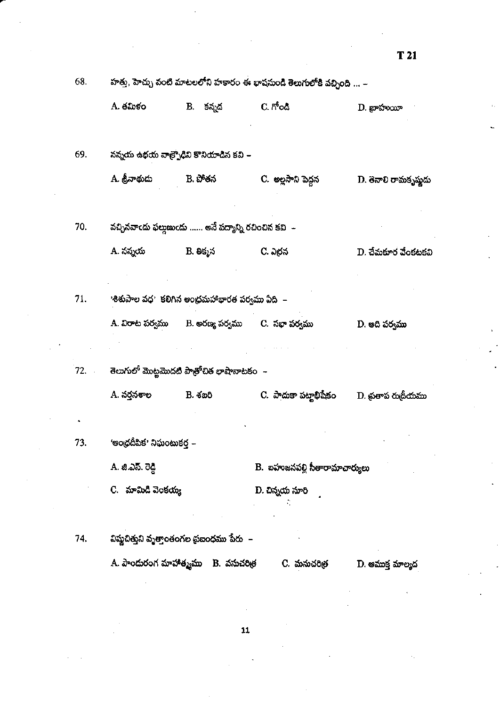|     | A. తమిళం                                                            | B. కన్నడ     | $C.$ ಗೌಂಡಿ                     | $D.$ బ్రాహుయీ        |
|-----|---------------------------------------------------------------------|--------------|--------------------------------|----------------------|
| 69. | నన్నయ ఉభయ వాత్ర్పోడిని కొనియాడిన కవి –                              |              |                                |                      |
|     | A. శ్రీనాథుదు                                                       | B. పోతన      | C. అల్లసాని పెద్దన             | D. తెనాలి రామకృష్ణదు |
| 70. | వచ్చినవాందు ఫల్లుణుందు …… అనే పద్యాన్ని రచించిన కవి $\,\,\,\perp\,$ |              |                                |                      |
|     | A. నన్నయ                                                            | B. తిక్మన    | C. ఎర్రన                       | D. చేమకూర వేంకటకవి   |
|     |                                                                     |              |                                |                      |
| 71. | <u>'శిశుపాల వధ' కలిగిన ఆంధ్రమహాభారత పర్వము ఏది  –</u>               |              |                                |                      |
|     | A. విరాట పర్వము      B. అరణ్య పర్వము      C.  సభా పర్వము            |              |                                | D. అది పర్వము        |
|     |                                                                     |              |                                |                      |
|     |                                                                     |              |                                |                      |
|     | A. నర్తనశాల                                                         | B. శఐరి      | C. పాదుకా పట్నభీషేకం           | D. ప్రతాప రుద్రీయము  |
|     |                                                                     |              |                                |                      |
| 73. | 'ఆంధ్రదీపిక' నిఘంటుకర్త –                                           |              |                                |                      |
|     | A. జి.ఎస్. రెడ్డి                                                   |              | B. బహుజనపల్లి సీతారామాచార్యులు |                      |
|     | C.   మామిడి వెంకయ్య                                                 |              | D. చిన్నయ సూరి                 |                      |
|     |                                                                     |              |                                |                      |
| 74. | విష్ణచిత్తుని వృత్తాంతంగల ప్రజంధము పేరు  –                          |              |                                |                      |
|     | A. పాందురంగ మాహాత్మము                                               | B. వనుచరిత్ర | C. మనుచరిత్ర                   | D. అముక్త మాల్యద     |

68.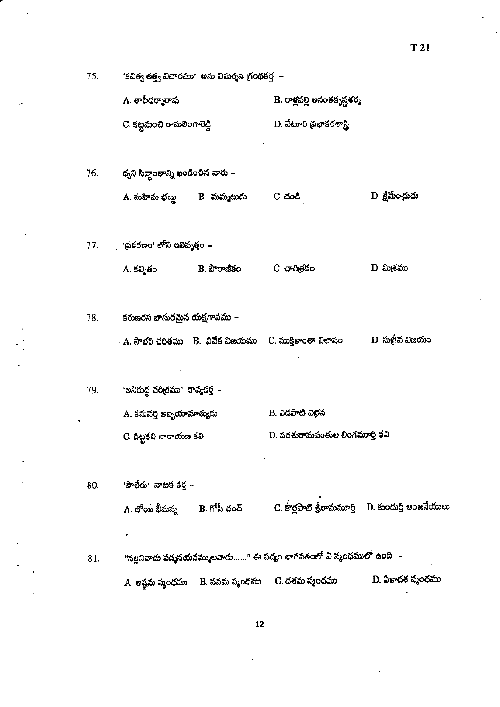| 75. | 'కవిత్వ తత్త్వ విచారము'  అను విమర్శన గ్ర౦థకర్త  – |                                        |                                                                      |                        |  |
|-----|---------------------------------------------------|----------------------------------------|----------------------------------------------------------------------|------------------------|--|
|     | A. తాపీధర్మారావు                                  |                                        | B. రాళ్లపల్లి అనంతకృష్ణశర్మ                                          |                        |  |
|     | C. కట్టమంచి రామలింగారెడ్డి                        |                                        | D. వేటూరి ప్రభాకరశాస్త్రి                                            |                        |  |
|     |                                                   |                                        |                                                                      |                        |  |
| 76. | థ్వని సిద్ధాంతాన్ని ఖండించిన వారు –               |                                        |                                                                      |                        |  |
|     | A. మహిమ భట్లు        B.  మమ్మటుదు                 |                                        | C. దండి                                                              | D. క్షేమేంచ్రుడు       |  |
|     |                                                   |                                        |                                                                      |                        |  |
| 77. | ్గ ప్రకరణం' లోని ఇతివృత్తం –                      |                                        |                                                                      |                        |  |
|     | A. కల్పితం                                        | B. పౌరాణికం                            | C. చారిత్రకం                                                         | D. మి <sub>్</sub> కము |  |
|     |                                                   |                                        |                                                                      |                        |  |
| 78. | కరుణరస భాసురమైన యక్షగానము –                       |                                        |                                                                      |                        |  |
|     |                                                   | - A. సౌభరి చరితము = B. -వివేక విజయము = | C. ముక్తికాంతా విలాసం                                                | D. సుగీవ విజయం         |  |
|     |                                                   |                                        |                                                                      |                        |  |
| 79. | 'అనిరుద్ద చరిత్రము' కావ్యకర్త –                   |                                        |                                                                      |                        |  |
|     | A. కనుపర్తి అబ్బయామాత్యుదు                        |                                        | B. ఎడపాటి ఎర్రన                                                      |                        |  |
|     | C. దిట్టకవి నారాయణ కవి                            |                                        | D. పరశురామపంతుల లింగమూర్తి కవి                                       |                        |  |
|     |                                                   |                                        |                                                                      |                        |  |
| 80. | 'పాలేరు' నాటక కర్త –                              |                                        |                                                                      |                        |  |
|     | A. బోయి భీమన్న                                    | B. గోపీ చంద్                           | C. కొర్లపాటి శ్రీరామమూర్తి     D. కుందుర్తి అంజనేయులు                |                        |  |
|     |                                                   |                                        |                                                                      |                        |  |
| 81. |                                                   |                                        | "సల్లనివాదు పద్మనయనమ్ములవాదు……" ఈ పద్యం భాగవతంలో ఏ స్మంధములో ఉంది  – |                        |  |
|     | A. అష్టమ స్మంధము                                  | B. నవమ స్మంధము                         | C. దశమ స్మంధము                                                       | D. ఏకాదశ స్మంధము       |  |

 $T<sub>21</sub>$ 

 $\overline{\mathbf{12}}$ 

l,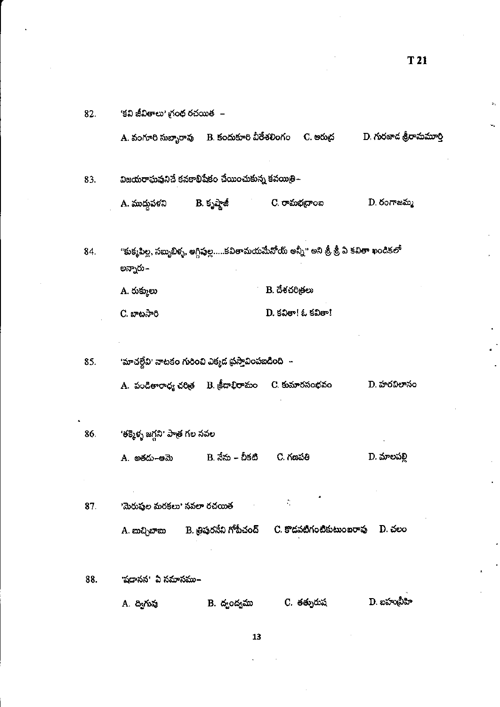| 82. | 'కవి జీవితాలు' గ్రంథ రచయిత  –                        |                          |                                                                                        |                         |
|-----|------------------------------------------------------|--------------------------|----------------------------------------------------------------------------------------|-------------------------|
|     |                                                      |                          | A. వంగూరి సుబ్బారావు     B. కందుకూరి వీరేశలింగం     C. ఆరుద్ర                          | D. గురజాద శ్రీరామమూర్తి |
| 83. | విజయరాఘవునిచే కనకాభిషేకం చేయించుకున్న కవయిత్రి–      |                          |                                                                                        |                         |
|     | A. ముద్దుపళని                                        | B. కృష్ణాజీ              | C. రామభద్రాంఐ                                                                          | D. రంగాజమ్మ             |
| 84. | అన్నారు –                                            |                          | "కుక్మపిల్ల, సబ్బబిళ్ళ, అగ్గిఫల్ల…కవితామయమేనోయ్ అన్నీ" అని శ్రీ, శ్రీ వీ కవితా ఖండికలో |                         |
|     | A. రుక్ములు                                          |                          | B. దేశచరి <sub>తో</sub> లు                                                             |                         |
|     | C. బాటసారి                                           |                          | $D.$ కవితా! ఓ కవితా!                                                                   |                         |
|     |                                                      |                          |                                                                                        |                         |
| 85. | 'మాచల్లేవి' నాటకం గురించి ఎక్మడ ప్రస్తావింపబడింది  – |                          |                                                                                        |                         |
|     | A. పండితారాధ్య చరిత్ర B. క్రీడాభిరామం C. కుమారసంభవం  |                          |                                                                                        | D. హరవిలానం             |
|     |                                                      |                          |                                                                                        |                         |
| 86. | 'తక్మెళ్ళ జగ్గని' పాత్ర గల నవల                       |                          |                                                                                        |                         |
|     | A. అతదు–ఆమె                                          | B. నేను – చీకటి          | C. గణపతి                                                                               | D. మాలపలి               |
|     |                                                      |                          |                                                                                        |                         |
| 87. | 'మెరుష్మల మరకలు' నవలా రచయిత                          |                          | ċ,                                                                                     |                         |
|     | A. బుచ్చిబాబు                                        | B. త్రిప్తరనేని గోపీచంద్ | C. కొడవటిగంటికుటుంబరావు                                                                | D. చలం                  |
|     |                                                      |                          |                                                                                        |                         |
| 88. | 'షడానన'  ఏ సమాసము–                                   |                          |                                                                                        |                         |
|     | A. ద్విగువు                                          | B. ద్వంద్వము             | C. <del>త</del> త్నురుష                                                                | D. ఐహువీహి              |

 $T<sub>21</sub>$ 

 $\boldsymbol{13}$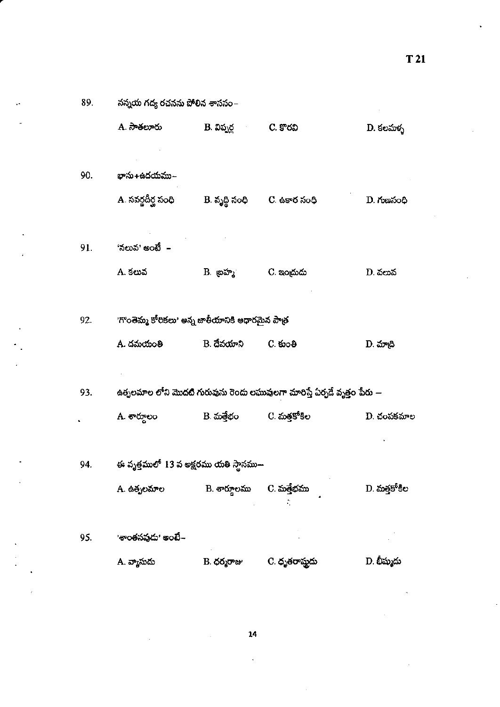89.

నన్నయ గద్య రచనను పోలిన శాససం $\mathord{\text{--}}$ 

|     | A. సాతలూరు                                                     | B. విప్పర్ల                       | C. కొరవి                                                                  | D. కలమళ్ళ    |
|-----|----------------------------------------------------------------|-----------------------------------|---------------------------------------------------------------------------|--------------|
| 90. | భాను+ఉదయము–                                                    |                                   |                                                                           |              |
|     | A. సవర్ణదీర్ఘ సంధి                                             | B. వృద్ధి సంధి       C. ఉకార సంధి |                                                                           | D. గుణనంధి   |
| 91. | 'నలువ' అంటే  –                                                 |                                   |                                                                           |              |
|     | A. కలువ                                                        | B. బ్రహ్మ                         | C. ఇంద్రుడు                                                               | D. వలువ      |
| 92. | 'గొంతెమ్మ కోరికలు' అన్న జాతీయానికి ఆధారమైన పాత్ <mark>ర</mark> |                                   |                                                                           |              |
|     | A. దమయంతి                                                      | B. దేవయాని                        | $C.$ හිංෂි                                                                | D. మాద్రి    |
| 93. |                                                                |                                   | ఉత్పలమాల లోని మొదటి గురువును రెందు లఘువులగా మారిస్తే ఏర్పడే వృత్తం పేరు — |              |
|     | A. శార్దులం                                                    | B. మత్తేభం                        | C. మత్తకోకిల                                                              | $D.$ చంపకమాల |
| 94. | ఈ వృత్తములో 13 వ అక్షరము యతి స్థానము—                          |                                   |                                                                           |              |
|     | A. ఉత్పలమాల                                                    | B. శారూలము                        | C. మత్తేభము<br>÷,                                                         | D. మత్తకోకిల |
| 95. | 'శాంతనవుదు' అంబే–                                              |                                   |                                                                           |              |
|     | A. వ్యాసుదు                                                    | B. ధర్మరాజు                       | C. ధృతరాష్ముడు                                                            | D. భీష్ముదు  |

 $14$ 

 $\ddot{ }$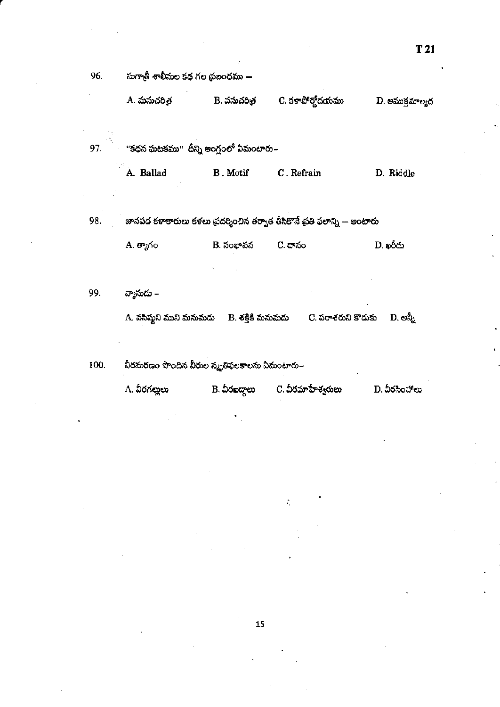|      | A. మనుచరిత్ర                                                              | B. వసుచరిత్ర | C. కళాపోర్తోదయము                                                       | D. అముక్రమాల్యద |  |  |  |
|------|---------------------------------------------------------------------------|--------------|------------------------------------------------------------------------|-----------------|--|--|--|
| 97.  | "కథన ఘటకము" దీన్ని అంగ్లంలో ఏమంటారు.–                                     |              |                                                                        |                 |  |  |  |
|      | A. Ballad                                                                 | B . Motif    | C. Refrain                                                             | D. Riddle       |  |  |  |
|      |                                                                           |              |                                                                        |                 |  |  |  |
| 98.  | జానపద కళాకారులు కళలు ప్రదర్శించిన తర్వాత తీసికొనే ప్రతి ఫలాన్ని -- అంటారు |              |                                                                        |                 |  |  |  |
|      | A. త్యాగం                                                                 | B. సంభావన    | C. దానం                                                                | D. ఖరీదు        |  |  |  |
|      |                                                                           |              |                                                                        |                 |  |  |  |
| 99.  | వ్యాసుదు –                                                                |              |                                                                        |                 |  |  |  |
|      |                                                                           |              | A. వసిష్ఠని ముని మనుమడు     B. శక్తికి మనుమడు       C. పరాశరుని కొదుకు | D. అన్నీ        |  |  |  |
|      |                                                                           |              |                                                                        |                 |  |  |  |
| 100. | వీరమరణం పొందిన వీరుల స్మృతిఫలకాలను ఏమంటారు–                               |              |                                                                        |                 |  |  |  |
|      | A. వీరగలులు                                                               | B. వీరఖదాలు  | C. వీరమాహేశ్వరులు                                                      | D. వీరసింహాలు   |  |  |  |

 $\hat{\psi}$